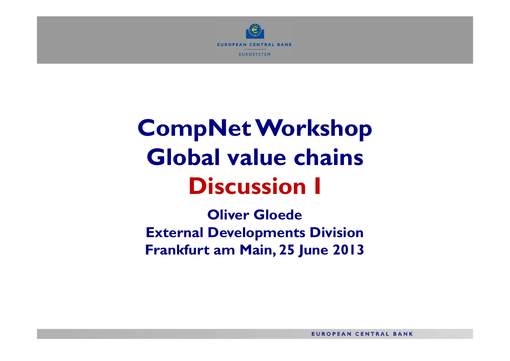

## **CompNet Workshop Global value chainsDiscussion I**

**Oliver Gloede External Developments Division Frankfurt am Main, 25 June 2013**

**EUROPEAN CENTRAL BANK**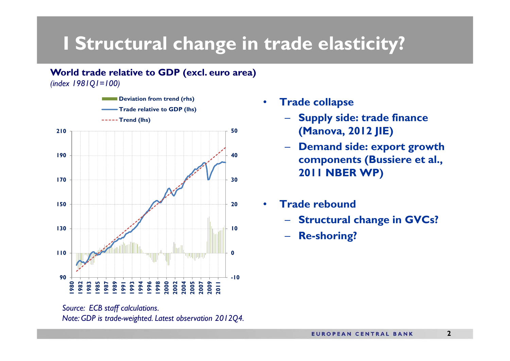## **I Structural change in trade elasticity?**

**World trade relative to GDP (excl. euro area)** 

*(index 1981Q1=100)*



*Source: ECB staff calculations. Note: GDP is trade-weighted. Latest observation 2012Q4.*

- • **Trade collapse**
	- **Supply side: trade finance (Manova, 2012 JIE)**
	- – **Demand side: export growth components (Bussiere et al., 2011 NBER WP)**
- • **Trade rebound**
	- **Structural change in GVCs?**
	- **Re-shoring?**

**2**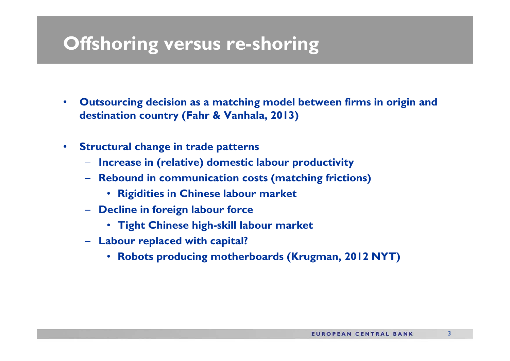## **Offshoring versus re-shoring**

- $\bullet$  **Outsourcing decision as a matching model between firms in origin and destination country (Fahr & Vanhala, 2013)**
- $\bullet$  **Structural change in trade patterns**
	- **Increase in (relative) domestic labour productivity**
	- **Rebound in communication costs (matching frictions)**
		- **Rigidities in Chinese labour market**
	- **Decline in foreign labour force**
		- **Tight Chinese high-skill labour market**
	- **Labour replaced with capital?**
		- **Robots producing motherboards (Krugman, 2012 NYT)**

3